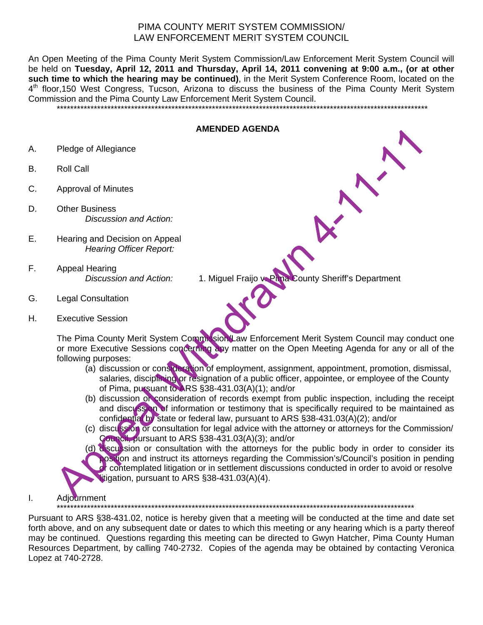## PIMA COUNTY MERIT SYSTEM COMMISSION/ LAW ENFORCEMENT MERIT SYSTEM COUNCIL

An Open Meeting of the Pima County Merit System Commission/Law Enforcement Merit System Council will be held on **Tuesday, April 12, 2011 and Thursday, April 14, 2011 convening at 9:00 a.m., (or at other such time to which the hearing may be continued)**, in the Merit System Conference Room, located on the  $4<sup>th</sup>$  floor,150 West Congress, Tucson, Arizona to discuss the business of the Pima County Merit System Commission and the Pima County Law Enforcement Merit System Council.

\*\*\*\*\*\*\*\*\*\*\*\*\*\*\*\*\*\*\*\*\*\*\*\*\*\*\*\*\*\*\*\*\*\*\*\*\*\*\*\*\*\*\*\*\*\*\*\*\*\*\*\*\*\*\*\*\*\*\*\*\*\*\*\*\*\*\*\*\*\*\*\*\*\*\*\*\*\*\*\*\*\*\*\*\*\*\*\*\*\*\*\*\*\*\*\*\*\*\*\*\*\*\*\*\*\*\*\*\*\*

## **AMENDED AGENDA**

- A. Pledge of Allegiance
- B. Roll Call
- C. Approval of Minutes
- D. Other Business *Discussion and Action:*
- E. Hearing and Decision on Appeal *Hearing Officer Report:*
- F. Appeal Hearing *Discussion and Action:* 1. Miguel Fraijo v. Pima County Sheriff's Department
- G. Legal Consultation
- H. Executive Session

The Pima County Merit System Commission/Law Enforcement Merit System Council may conduct one or more Executive Sessions concerning any matter on the Open Meeting Agenda for any or all of the

- following purposes: (a) discussion or consideration of employment, assignment, appointment, promotion, dismissal, salaries, disciplining or resignation of a public officer, appointee, or employee of the County of Pima, pursuant to ARS §38-431.03(A)(1); and/or
	- (b) discussion or consideration of records exempt from public inspection, including the receipt and discussion of information or testimony that is specifically required to be maintained as confidential by state or federal law, pursuant to ARS §38-431.03(A)(2); and/or
	- (c) discussion or consultation for legal advice with the attorney or attorneys for the Commission/ Council, pursuant to ARS §38-431.03(A)(3); and/or
- (d) discussion or consultation with the attorneys for the public body in order to consider its position and instruct its attorneys regarding the Commission's/Council's position in pending or contemplated litigation or in settlement discussions conducted in order to avoid or resolve litigation, pursuant to ARS §38-431.03(A)(4). Pledge of Allegiance<br>
Roll Call<br>
Approval of Minutes<br>
Other Basines<br>
Charles Charles (Discussion and Action:<br>
Legal Consultation<br>
Executive Sessions and Action:<br>
Appeal Hearing Officer Report:<br>
Appeal Meaning Officer Repor
- I. Adjournment

\*\*\*\*\*\*\*\*\*\*\*\*\*\*\*\*\*\*\*\*\*\*\*\*\*\*\*\*\*\*\*\*\*\*\*\*\*\*\*\*\*\*\*\*\*\*\*\*\*\*\*\*\*\*\*\*\*\*\*\*\*\*\*\*\*\*\*\*\*\*\*\*\*\*\*\*\*\*\*\*\*\*\*\*\*\*\*\*\*\*\*\*\*\*\*\*\*\*\*\*\*\*\*\*\*\*

Pursuant to ARS §38-431.02, notice is hereby given that a meeting will be conducted at the time and date set forth above, and on any subsequent date or dates to which this meeting or any hearing which is a party thereof may be continued. Questions regarding this meeting can be directed to Gwyn Hatcher, Pima County Human Resources Department, by calling 740-2732. Copies of the agenda may be obtained by contacting Veronica Lopez at 740-2728.